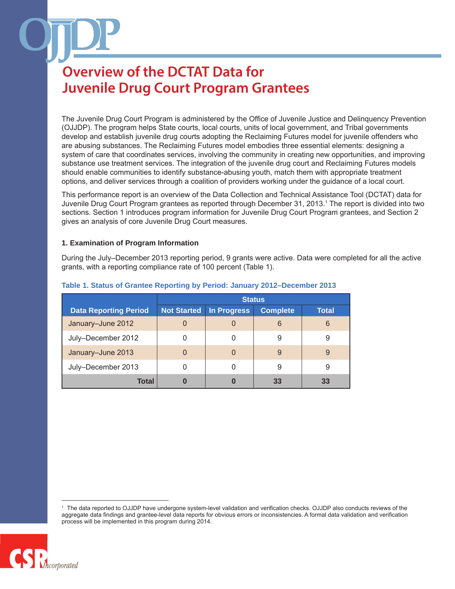The Juvenile Drug Court Program is administered by the Office of Juvenile Justice and Delinquency Prevention (OJJDP). The program helps State courts, local courts, units of local government, and Tribal governments develop and establish juvenile drug courts adopting the Reclaiming Futures model for juvenile offenders who are abusing substances. The Reclaiming Futures model embodies three essential elements: designing a system of care that coordinates services, involving the community in creating new opportunities, and improving substance use treatment services. The integration of the juvenile drug court and Reclaiming Futures models should enable communities to identify substance-abusing youth, match them with appropriate treatment options, and deliver services through a coalition of providers working under the guidance of a local court.

This performance report is an overview of the Data Collection and Technical Assistance Tool (DCTAT) data for Juvenile Drug Court Program grantees as reported through December 31, 2013.1 The report is divided into two sections. Section 1 introduces program information for Juvenile Drug Court Program grantees, and Section 2 gives an analysis of core Juvenile Drug Court measures.

#### **1. Examination of Program Information**

During the July–December 2013 reporting period, 9 grants were active. Data were completed for all the active grants, with a reporting compliance rate of 100 percent (Table 1).

|                              | <b>Status</b>      |             |                 |              |
|------------------------------|--------------------|-------------|-----------------|--------------|
| <b>Data Reporting Period</b> | <b>Not Started</b> | In Progress | <b>Complete</b> | <b>Total</b> |
| January-June 2012            | 0                  |             | 6               | 6            |
| July-December 2012           | 0                  |             | 9               | 9            |
| January-June 2013            | 0                  | $\Omega$    | 9               | 9            |
| July-December 2013           | Ω                  |             | 9               | 9            |
| Total                        | 0                  | 0           | 33              | 33           |

#### **Table 1. Status of Grantee Reporting by Period: January 2012–December 2013**

<sup>1</sup> The data reported to OJJDP have undergone system-level validation and verification checks. OJJDP also conducts reviews of the aggregate data findings and grantee-level data reports for obvious errors or inconsistencies. A formal data validation and verification process will be implemented in this program during 2014.

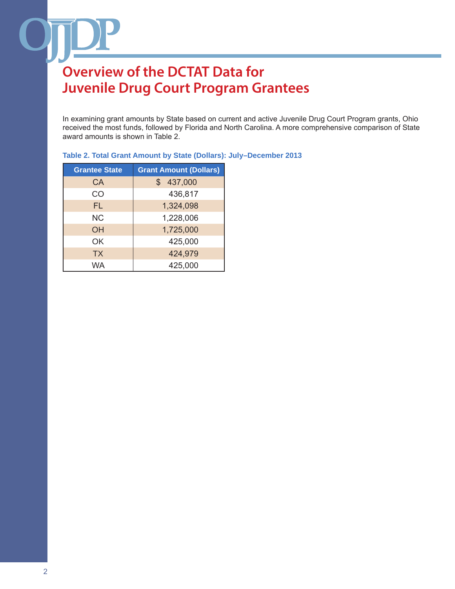In examining grant amounts by State based on current and active Juvenile Drug Court Program grants, Ohio received the most funds, followed by Florida and North Carolina. A more comprehensive comparison of State award amounts is shown in Table 2.

| <b>Grantee State</b> | <b>Grant Amount (Dollars)</b> |
|----------------------|-------------------------------|
| CA                   | \$437,000                     |
| CO                   | 436,817                       |
| FL                   | 1,324,098                     |
| <b>NC</b>            | 1,228,006                     |
| ΟH                   | 1,725,000                     |
| OK                   | 425,000                       |
| <b>TX</b>            | 424,979                       |
| <b>WA</b>            | 425,000                       |

### **Table 2. Total Grant Amount by State (Dollars): July–December 2013**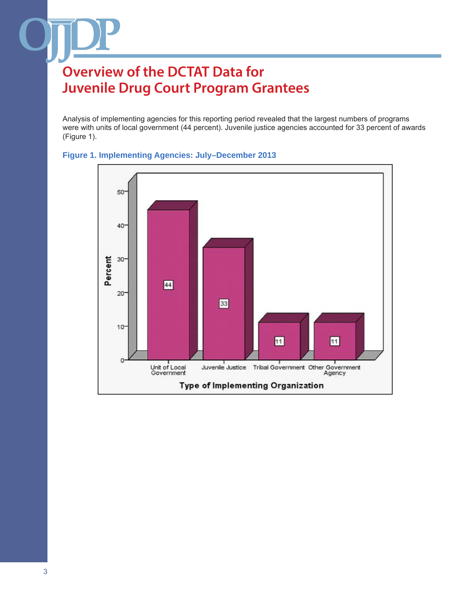Analysis of implementing agencies for this reporting period revealed that the largest numbers of programs were with units of local government (44 percent). Juvenile justice agencies accounted for 33 percent of awards (Figure 1).



### **Figure 1. Implementing Agencies: July–December 2013**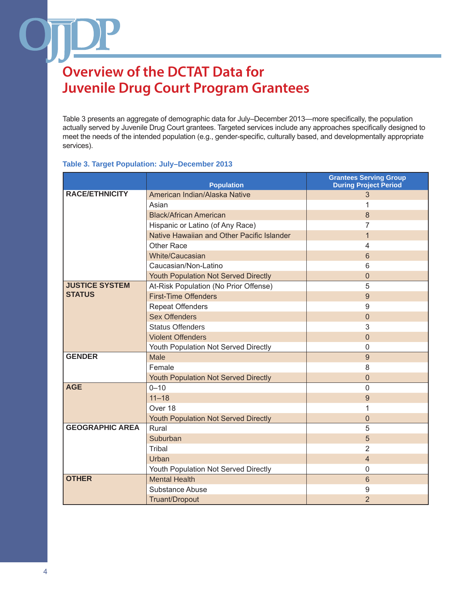Table 3 presents an aggregate of demographic data for July–December 2013—more specifically, the population actually served by Juvenile Drug Court grantees. Targeted services include any approaches specifically designed to meet the needs of the intended population (e.g., gender-specific, culturally based, and developmentally appropriate services).

#### **Table 3. Target Population: July–December 2013**

|                        | <b>Population</b>                           | <b>Grantees Serving Group</b><br><b>During Project Period</b> |
|------------------------|---------------------------------------------|---------------------------------------------------------------|
| <b>RACE/ETHNICITY</b>  | American Indian/Alaska Native               | 3                                                             |
|                        | Asian                                       | 1                                                             |
|                        | <b>Black/African American</b>               | 8                                                             |
|                        | Hispanic or Latino (of Any Race)            | 7                                                             |
|                        | Native Hawaiian and Other Pacific Islander  | $\mathbf{1}$                                                  |
|                        | <b>Other Race</b>                           | 4                                                             |
|                        | <b>White/Caucasian</b>                      | 6                                                             |
|                        | Caucasian/Non-Latino                        | 6                                                             |
|                        | <b>Youth Population Not Served Directly</b> | $\overline{0}$                                                |
| <b>JUSTICE SYSTEM</b>  | At-Risk Population (No Prior Offense)       | 5                                                             |
| <b>STATUS</b>          | <b>First-Time Offenders</b>                 | 9                                                             |
|                        | <b>Repeat Offenders</b>                     | 9                                                             |
|                        | <b>Sex Offenders</b>                        | $\overline{0}$                                                |
|                        | <b>Status Offenders</b>                     | 3                                                             |
|                        | <b>Violent Offenders</b>                    | $\Omega$                                                      |
|                        | Youth Population Not Served Directly        | $\mathbf 0$                                                   |
| <b>GENDER</b>          | Male                                        | 9                                                             |
|                        | Female                                      | 8                                                             |
|                        | <b>Youth Population Not Served Directly</b> | $\mathbf 0$                                                   |
| <b>AGE</b>             | $0 - 10$                                    | $\overline{0}$                                                |
|                        | $11 - 18$                                   | 9                                                             |
|                        | Over 18                                     | 1                                                             |
|                        | Youth Population Not Served Directly        | 0                                                             |
| <b>GEOGRAPHIC AREA</b> | Rural                                       | 5                                                             |
|                        | Suburban                                    | 5                                                             |
|                        | <b>Tribal</b>                               | $\overline{2}$                                                |
|                        | Urban                                       | $\overline{4}$                                                |
|                        | Youth Population Not Served Directly        | $\overline{0}$                                                |
| <b>OTHER</b>           | <b>Mental Health</b>                        | 6                                                             |
|                        | Substance Abuse                             | 9                                                             |
|                        | Truant/Dropout                              | $\overline{2}$                                                |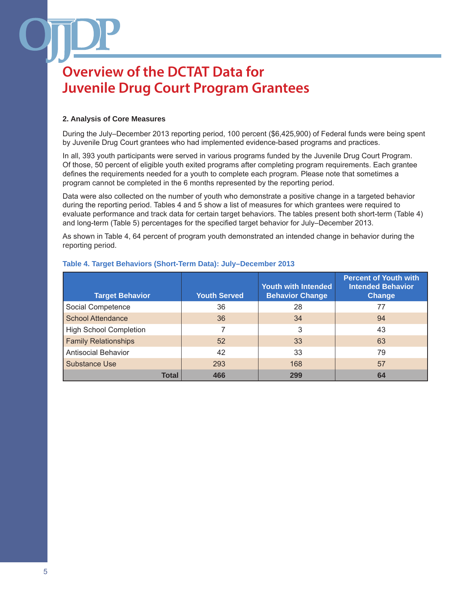### **2. Analysis of Core Measures**

During the July–December 2013 reporting period, 100 percent (\$6,425,900) of Federal funds were being spent by Juvenile Drug Court grantees who had implemented evidence-based programs and practices.

In all, 393 youth participants were served in various programs funded by the Juvenile Drug Court Program. Of those, 50 percent of eligible youth exited programs after completing program requirements. Each grantee defines the requirements needed for a youth to complete each program. Please note that sometimes a program cannot be completed in the 6 months represented by the reporting period.

Data were also collected on the number of youth who demonstrate a positive change in a targeted behavior during the reporting period. Tables 4 and 5 show a list of measures for which grantees were required to evaluate performance and track data for certain target behaviors. The tables present both short-term (Table 4) and long-term (Table 5) percentages for the specified target behavior for July–December 2013.

As shown in Table 4, 64 percent of program youth demonstrated an intended change in behavior during the reporting period.

| <b>Target Behavior</b>        | <b>Youth Served</b> | <b>Youth with Intended</b><br><b>Behavior Change</b> | <b>Percent of Youth with</b><br><b>Intended Behavior</b><br><b>Change</b> |
|-------------------------------|---------------------|------------------------------------------------------|---------------------------------------------------------------------------|
| Social Competence             | 36                  | 28                                                   | 77                                                                        |
| <b>School Attendance</b>      | 36                  | 34                                                   | 94                                                                        |
| <b>High School Completion</b> |                     | 3                                                    | 43                                                                        |
| <b>Family Relationships</b>   | 52                  | 33                                                   | 63                                                                        |
| <b>Antisocial Behavior</b>    | 42                  | 33                                                   | 79                                                                        |
| Substance Use                 | 293                 | 168                                                  | 57                                                                        |
| <b>Total</b>                  | 466                 | 299                                                  | 64                                                                        |

### **Table 4. Target Behaviors (Short-Term Data): July–December 2013**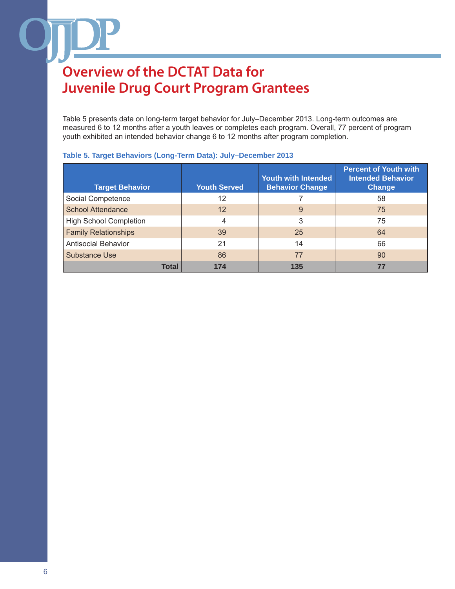Table 5 presents data on long-term target behavior for July–December 2013. Long-term outcomes are measured 6 to 12 months after a youth leaves or completes each program. Overall, 77 percent of program youth exhibited an intended behavior change 6 to 12 months after program completion.

| <b>Target Behavior</b>        | <b>Youth Served</b> | <b>Youth with Intended</b><br><b>Behavior Change</b> | <b>Percent of Youth with</b><br><b>Intended Behavior</b><br><b>Change</b> |
|-------------------------------|---------------------|------------------------------------------------------|---------------------------------------------------------------------------|
| Social Competence             | 12                  |                                                      | 58                                                                        |
| <b>School Attendance</b>      | $12 \overline{ }$   | 9                                                    | 75                                                                        |
| <b>High School Completion</b> | 4                   | 3                                                    | 75                                                                        |
| <b>Family Relationships</b>   | 39                  | 25                                                   | 64                                                                        |
| <b>Antisocial Behavior</b>    | 21                  | 14                                                   | 66                                                                        |
| Substance Use                 | 86                  | 77                                                   | 90                                                                        |
| <b>Total</b>                  | 174                 | 135                                                  | 77                                                                        |

### **Table 5. Target Behaviors (Long-Term Data): July–December 2013**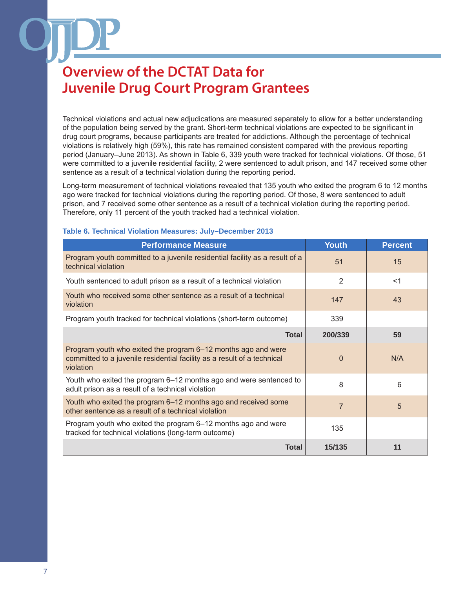Technical violations and actual new adjudications are measured separately to allow for a better understanding of the population being served by the grant. Short-term technical violations are expected to be significant in drug court programs, because participants are treated for addictions. Although the percentage of technical violations is relatively high (59%), this rate has remained consistent compared with the previous reporting period (January–June 2013). As shown in Table 6, 339 youth were tracked for technical violations. Of those, 51 were committed to a juvenile residential facility, 2 were sentenced to adult prison, and 147 received some other sentence as a result of a technical violation during the reporting period.

Long-term measurement of technical violations revealed that 135 youth who exited the program 6 to 12 months ago were tracked for technical violations during the reporting period. Of those, 8 were sentenced to adult prison, and 7 received some other sentence as a result of a technical violation during the reporting period. Therefore, only 11 percent of the youth tracked had a technical violation.

| <b>Performance Measure</b>                                                                                                                            | <b>Youth</b> | <b>Percent</b> |
|-------------------------------------------------------------------------------------------------------------------------------------------------------|--------------|----------------|
| Program youth committed to a juvenile residential facility as a result of a<br>technical violation                                                    | 51           | 15             |
| Youth sentenced to adult prison as a result of a technical violation                                                                                  | 2            | $<$ 1          |
| Youth who received some other sentence as a result of a technical<br>violation                                                                        | 147          | 43             |
| Program youth tracked for technical violations (short-term outcome)                                                                                   | 339          |                |
| Total                                                                                                                                                 | 200/339      | 59             |
| Program youth who exited the program 6–12 months ago and were<br>committed to a juvenile residential facility as a result of a technical<br>violation | 0            | N/A            |
| Youth who exited the program 6–12 months ago and were sentenced to<br>adult prison as a result of a technical violation                               | 8            | 6              |
| Youth who exited the program 6–12 months ago and received some<br>other sentence as a result of a technical violation                                 | 7            | 5              |
| Program youth who exited the program 6–12 months ago and were<br>tracked for technical violations (long-term outcome)                                 | 135          |                |
| <b>Total</b>                                                                                                                                          | 15/135       | 11             |

#### **Table 6. Technical Violation Measures: July–December 2013**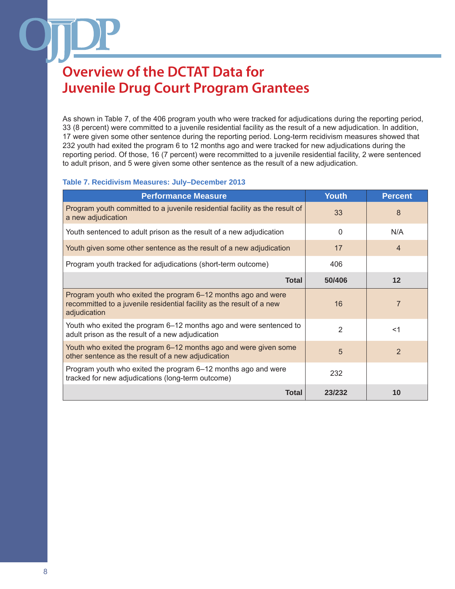As shown in Table 7, of the 406 program youth who were tracked for adjudications during the reporting period, 33 (8 percent) were committed to a juvenile residential facility as the result of a new adjudication. In addition, 17 were given some other sentence during the reporting period. Long-term recidivism measures showed that 232 youth had exited the program 6 to 12 months ago and were tracked for new adjudications during the reporting period. Of those, 16 (7 percent) were recommitted to a juvenile residential facility, 2 were sentenced to adult prison, and 5 were given some other sentence as the result of a new adjudication.

#### **Table 7. Recidivism Measures: July–December 2013**

| <b>Performance Measure</b>                                                                                                                             | <b>Youth</b>   | <b>Percent</b> |
|--------------------------------------------------------------------------------------------------------------------------------------------------------|----------------|----------------|
| Program youth committed to a juvenile residential facility as the result of<br>a new adjudication                                                      | 33             | 8              |
| Youth sentenced to adult prison as the result of a new adjudication                                                                                    | $\Omega$       | N/A            |
| Youth given some other sentence as the result of a new adjudication                                                                                    | 17             | $\overline{4}$ |
| Program youth tracked for adjudications (short-term outcome)                                                                                           | 406            |                |
| <b>Total</b>                                                                                                                                           | 50/406         | $12 \,$        |
| Program youth who exited the program 6–12 months ago and were<br>recommitted to a juvenile residential facility as the result of a new<br>adjudication | 16             | $\overline{7}$ |
| Youth who exited the program 6–12 months ago and were sentenced to<br>adult prison as the result of a new adjudication                                 | $\overline{2}$ | $<$ 1          |
| Youth who exited the program 6–12 months ago and were given some<br>other sentence as the result of a new adjudication                                 | 5              | 2              |
| Program youth who exited the program 6-12 months ago and were<br>tracked for new adjudications (long-term outcome)                                     | 232            |                |
| <b>Total</b>                                                                                                                                           | 23/232         | 10             |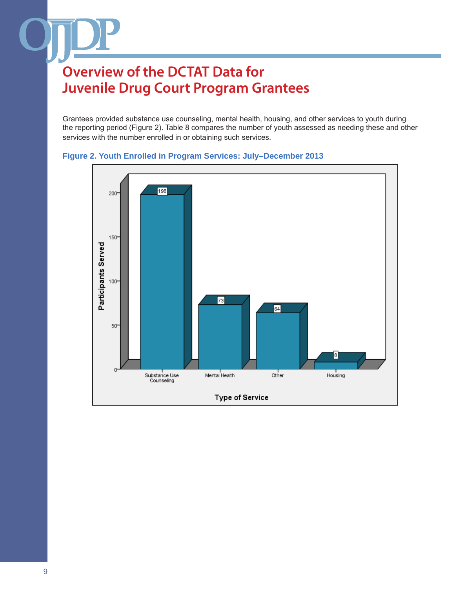Grantees provided substance use counseling, mental health, housing, and other services to youth during the reporting period (Figure 2). Table 8 compares the number of youth assessed as needing these and other services with the number enrolled in or obtaining such services.



### **Figure 2. Youth Enrolled in Program Services: July–December 2013**